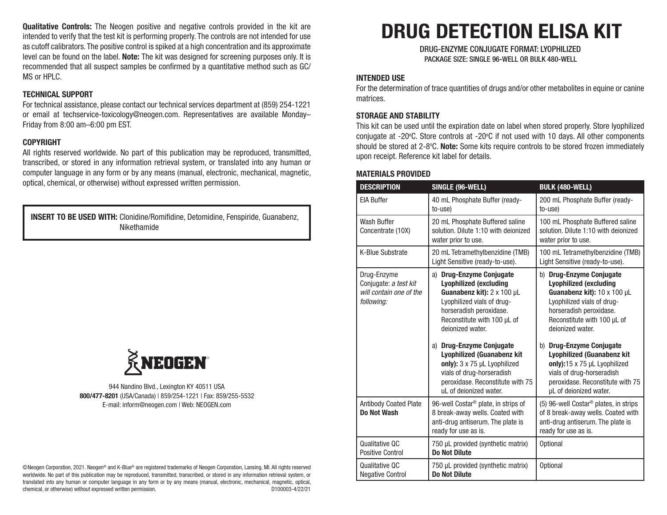**Qualitative Controls:** The Neogen positive and negative controls provided in the kit are intended to verify that the test kit is performing properly. The controls are not intended for use as cutoff calibrators. The positive control is spiked at a high concentration and its approximate level can be found on the label. **Note:** The kit was designed for screening purposes only. It is recommended that all suspect samples be confirmed by a quantitative method such as GC/ MS or HPLC.

#### **TECHNICAL SUPPORT**

For technical assistance, please contact our technical services department at (859) 254-1221 or email at techservice-toxicology@neogen.com. Representatives are available Monday– Friday from 8:00 am–6:00 pm EST.

#### **COPYRIGHT**

All rights reserved worldwide. No part of this publication may be reproduced, transmitted, transcribed, or stored in any information retrieval system, or translated into any human or computer language in any form or by any means (manual, electronic, mechanical, magnetic, optical, chemical, or otherwise) without expressed written permission.

**INSERT TO BE USED WITH:** Clonidine/Romifidine, Detomidine, Fenspiride, Guanabenz, Nikethamide



944 Nandino Blvd., Lexington KY 40511 USA **800/477-8201** (USA/Canada) | 859/254-1221 | Fax: 859/255-5532 E-mail: inform@neogen.com | Web: NEOGEN.com

©Neogen Corporation, 2021. Neogen® and K-Blue® are registered trademarks of Neogen Corporation, Lansing, MI. All rights reserved worldwide. No part of this publication may be reproduced, transmitted, transcribed, or stored in any information retrieval system, or translated into any human or computer language in any form or by any means (manual, electronic, mechanical, magnetic, optical, chemical, or otherwise) without expressed written permission. D100003-4/22/21

# **DRUG DETECTION ELISA KIT**

DRUG-ENZYME CONJUGATE FORMAT: LYOPHILIZED PACKAGE SIZE: SINGLE 96-WELL OR BULK 480-WELL

#### **INTENDED USE**

For the determination of trace quantities of drugs and/or other metabolites in equine or canine matrices.

#### **STORAGE AND STABILITY**

This kit can be used until the expiration date on label when stored properly. Store lyophilized conjugate at -20°C. Store controls at -20°C if not used with 10 days. All other components should be stored at 2-8°C. Note: Some kits require controls to be stored frozen immediately upon receipt. Reference kit label for details.

### **MATERIALS PROVIDED**

| <b>DESCRIPTION</b>                                                            | SINGLE (96-WELL)                                                                                                                                                                                                                                                                                                                                                                                                    | BULK (480-WELL)                                                                                                                                                                                                                                                                                                                                                                                                      |  |
|-------------------------------------------------------------------------------|---------------------------------------------------------------------------------------------------------------------------------------------------------------------------------------------------------------------------------------------------------------------------------------------------------------------------------------------------------------------------------------------------------------------|----------------------------------------------------------------------------------------------------------------------------------------------------------------------------------------------------------------------------------------------------------------------------------------------------------------------------------------------------------------------------------------------------------------------|--|
| <b>EIA Buffer</b>                                                             | 40 mL Phosphate Buffer (ready-<br>to-use)                                                                                                                                                                                                                                                                                                                                                                           | 200 mL Phosphate Buffer (ready-<br>to-use)                                                                                                                                                                                                                                                                                                                                                                           |  |
| Wash Buffer<br>Concentrate (10X)                                              | 20 mL Phosphate Buffered saline<br>solution. Dilute 1:10 with deionized<br>water prior to use.                                                                                                                                                                                                                                                                                                                      | 100 mL Phosphate Buffered saline<br>solution. Dilute 1:10 with deionized<br>water prior to use.                                                                                                                                                                                                                                                                                                                      |  |
| <b>K-Blue Substrate</b>                                                       | 20 mL Tetramethylbenzidine (TMB)<br>Light Sensitive (ready-to-use).                                                                                                                                                                                                                                                                                                                                                 | 100 mL Tetramethylbenzidine (TMB)<br>Light Sensitive (ready-to-use).                                                                                                                                                                                                                                                                                                                                                 |  |
| Drug-Enzyme<br>Conjugate: a test kit<br>will contain one of the<br>following: | a) Drug-Enzyme Conjugate<br><b>Lyophilized (excluding</b><br>Guanabenz kit): $2 \times 100 \mu L$<br>Lyophilized vials of drug-<br>horseradish peroxidase.<br>Reconstitute with 100 µL of<br>deionized water.<br><b>Drug-Enzyme Conjugate</b><br>a)<br><b>Lyophilized (Guanabenz kit</b><br>only): 3 x 75 µL Lyophilized<br>vials of drug-horseradish<br>peroxidase. Reconstitute with 75<br>uL of deionized water. | <b>Drug-Enzyme Conjugate</b><br>b)<br><b>Lyophilized (excluding</b><br>Guanabenz kit): 10 x 100 µL<br>Lyophilized vials of drug-<br>horseradish peroxidase.<br>Reconstitute with 100 µL of<br>deionized water.<br><b>Drug-Enzyme Conjugate</b><br>b)<br><b>Lyophilized (Guanabenz kit</b><br>only):15 x 75 µL Lyophilized<br>vials of drug-horseradish<br>peroxidase. Reconstitute with 75<br>µL of deionized water. |  |
| <b>Antibody Coated Plate</b><br>Do Not Wash                                   | 96-well Costar <sup>®</sup> plate, in strips of<br>8 break-away wells. Coated with<br>anti-drug antiserum. The plate is<br>ready for use as is.                                                                                                                                                                                                                                                                     | (5) 96-well Costar <sup>®</sup> plates, in strips<br>of 8 break-away wells. Coated with<br>anti-drug antiserum. The plate is<br>ready for use as is.                                                                                                                                                                                                                                                                 |  |
| Qualitative QC<br><b>Positive Control</b>                                     | 750 µL provided (synthetic matrix)<br><b>Do Not Dilute</b>                                                                                                                                                                                                                                                                                                                                                          | <b>Optional</b>                                                                                                                                                                                                                                                                                                                                                                                                      |  |
| Qualitative QC<br><b>Negative Control</b>                                     | 750 µL provided (synthetic matrix)<br><b>Do Not Dilute</b>                                                                                                                                                                                                                                                                                                                                                          | <b>Optional</b>                                                                                                                                                                                                                                                                                                                                                                                                      |  |